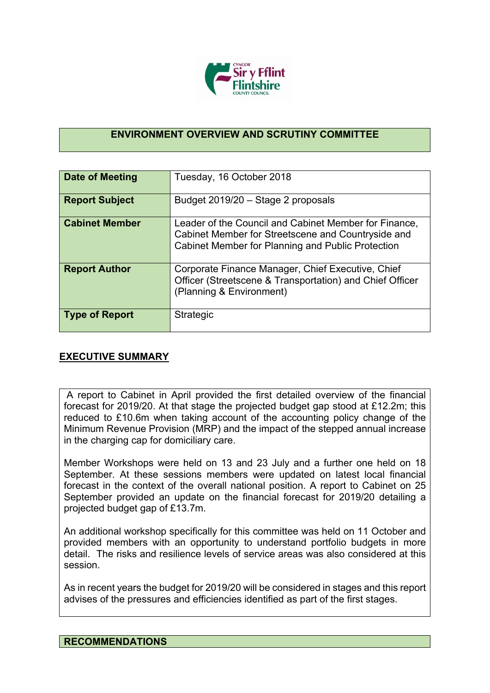

## **ENVIRONMENT OVERVIEW AND SCRUTINY COMMITTEE**

| Date of Meeting       | Tuesday, 16 October 2018                                                                                                                                         |
|-----------------------|------------------------------------------------------------------------------------------------------------------------------------------------------------------|
| <b>Report Subject</b> | Budget 2019/20 - Stage 2 proposals                                                                                                                               |
| <b>Cabinet Member</b> | Leader of the Council and Cabinet Member for Finance,<br>Cabinet Member for Streetscene and Countryside and<br>Cabinet Member for Planning and Public Protection |
| <b>Report Author</b>  | Corporate Finance Manager, Chief Executive, Chief<br>Officer (Streetscene & Transportation) and Chief Officer<br>(Planning & Environment)                        |
| <b>Type of Report</b> | <b>Strategic</b>                                                                                                                                                 |

## **EXECUTIVE SUMMARY**

A report to Cabinet in April provided the first detailed overview of the financial forecast for 2019/20. At that stage the projected budget gap stood at £12.2m; this reduced to £10.6m when taking account of the accounting policy change of the Minimum Revenue Provision (MRP) and the impact of the stepped annual increase in the charging cap for domiciliary care.

Member Workshops were held on 13 and 23 July and a further one held on 18 September. At these sessions members were updated on latest local financial forecast in the context of the overall national position. A report to Cabinet on 25 September provided an update on the financial forecast for 2019/20 detailing a projected budget gap of £13.7m.

An additional workshop specifically for this committee was held on 11 October and provided members with an opportunity to understand portfolio budgets in more detail. The risks and resilience levels of service areas was also considered at this session.

As in recent years the budget for 2019/20 will be considered in stages and this report advises of the pressures and efficiencies identified as part of the first stages.

## **RECOMMENDATIONS**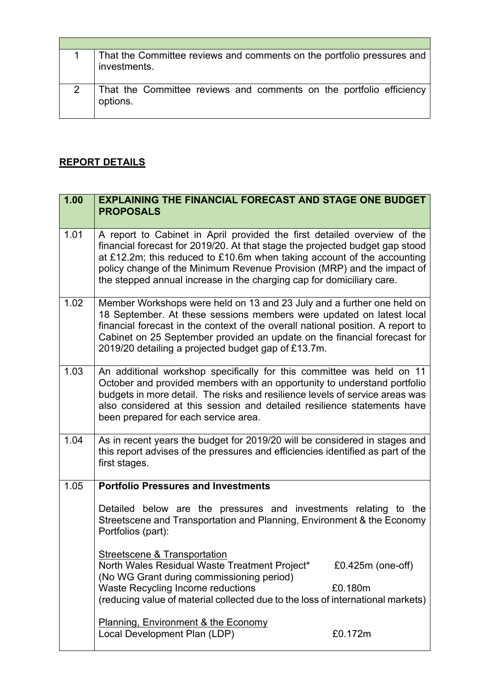| That the Committee reviews and comments on the portfolio pressures and<br>investments. |
|----------------------------------------------------------------------------------------|
| That the Committee reviews and comments on the portfolio efficiency<br>options.        |

 $\overline{\phantom{a}}$ 

## **REPORT DETAILS**

 $\Gamma$ 

| 1.00 | <b>EXPLAINING THE FINANCIAL FORECAST AND STAGE ONE BUDGET</b><br><b>PROPOSALS</b>                                                                                                                                                                                                                                                                                                      |
|------|----------------------------------------------------------------------------------------------------------------------------------------------------------------------------------------------------------------------------------------------------------------------------------------------------------------------------------------------------------------------------------------|
| 1.01 | A report to Cabinet in April provided the first detailed overview of the<br>financial forecast for 2019/20. At that stage the projected budget gap stood<br>at £12.2m; this reduced to £10.6m when taking account of the accounting<br>policy change of the Minimum Revenue Provision (MRP) and the impact of<br>the stepped annual increase in the charging cap for domiciliary care. |
| 1.02 | Member Workshops were held on 13 and 23 July and a further one held on<br>18 September. At these sessions members were updated on latest local<br>financial forecast in the context of the overall national position. A report to<br>Cabinet on 25 September provided an update on the financial forecast for<br>2019/20 detailing a projected budget gap of £13.7m.                   |
| 1.03 | An additional workshop specifically for this committee was held on 11<br>October and provided members with an opportunity to understand portfolio<br>budgets in more detail. The risks and resilience levels of service areas was<br>also considered at this session and detailed resilience statements have<br>been prepared for each service area.                                   |
| 1.04 | As in recent years the budget for 2019/20 will be considered in stages and<br>this report advises of the pressures and efficiencies identified as part of the<br>first stages.                                                                                                                                                                                                         |
| 1.05 | <b>Portfolio Pressures and Investments</b>                                                                                                                                                                                                                                                                                                                                             |
|      | Detailed below are the pressures and investments relating to the<br>Streetscene and Transportation and Planning, Environment & the Economy<br>Portfolios (part):                                                                                                                                                                                                                       |
|      | <b>Streetscene &amp; Transportation</b><br>North Wales Residual Waste Treatment Project*<br>£0.425m (one-off)<br>(No WG Grant during commissioning period)                                                                                                                                                                                                                             |
|      | Waste Recycling Income reductions<br>£0.180m                                                                                                                                                                                                                                                                                                                                           |
|      | (reducing value of material collected due to the loss of international markets)                                                                                                                                                                                                                                                                                                        |
|      | Planning, Environment & the Economy                                                                                                                                                                                                                                                                                                                                                    |
|      | Local Development Plan (LDP)<br>£0.172m                                                                                                                                                                                                                                                                                                                                                |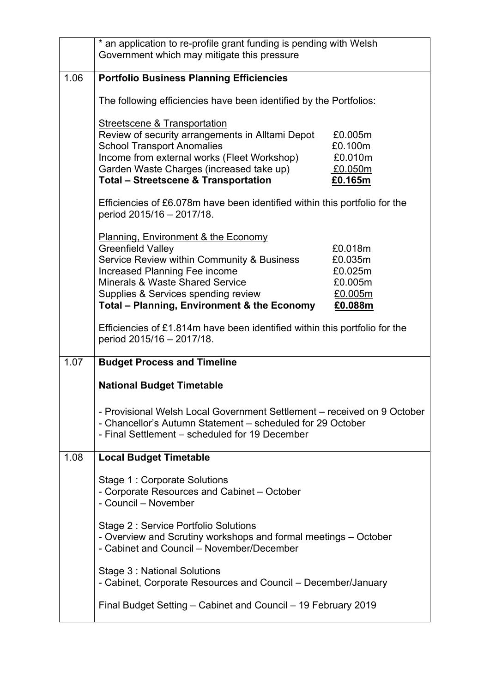|      | * an application to re-profile grant funding is pending with Welsh<br>Government which may mitigate this pressure                                                                       |                    |
|------|-----------------------------------------------------------------------------------------------------------------------------------------------------------------------------------------|--------------------|
| 1.06 | <b>Portfolio Business Planning Efficiencies</b>                                                                                                                                         |                    |
|      | The following efficiencies have been identified by the Portfolios:                                                                                                                      |                    |
|      | Streetscene & Transportation                                                                                                                                                            |                    |
|      | Review of security arrangements in Alltami Depot<br><b>School Transport Anomalies</b>                                                                                                   | £0.005m<br>£0.100m |
|      | Income from external works (Fleet Workshop)                                                                                                                                             | £0.010m            |
|      | Garden Waste Charges (increased take up)<br><b>Total - Streetscene &amp; Transportation</b>                                                                                             | £0.050m<br>£0.165m |
|      | Efficiencies of £6.078m have been identified within this portfolio for the<br>period 2015/16 - 2017/18.                                                                                 |                    |
|      | Planning, Environment & the Economy                                                                                                                                                     |                    |
|      | <b>Greenfield Valley</b><br>Service Review within Community & Business                                                                                                                  | £0.018m<br>£0.035m |
|      | Increased Planning Fee income<br>Minerals & Waste Shared Service                                                                                                                        | £0.025m<br>£0.005m |
|      | Supplies & Services spending review                                                                                                                                                     | £0.005m            |
|      | Total - Planning, Environment & the Economy                                                                                                                                             | £0.088m            |
|      | Efficiencies of £1.814m have been identified within this portfolio for the<br>period 2015/16 - 2017/18.                                                                                 |                    |
| 1.07 | <b>Budget Process and Timeline</b>                                                                                                                                                      |                    |
|      | <b>National Budget Timetable</b>                                                                                                                                                        |                    |
|      | - Provisional Welsh Local Government Settlement - received on 9 October<br>- Chancellor's Autumn Statement – scheduled for 29 October<br>- Final Settlement – scheduled for 19 December |                    |
| 1.08 | <b>Local Budget Timetable</b>                                                                                                                                                           |                    |
|      | Stage 1 : Corporate Solutions<br>- Corporate Resources and Cabinet – October<br>- Council - November                                                                                    |                    |
|      | Stage 2: Service Portfolio Solutions<br>- Overview and Scrutiny workshops and formal meetings – October<br>- Cabinet and Council - November/December                                    |                    |
|      | Stage 3: National Solutions<br>- Cabinet, Corporate Resources and Council – December/January                                                                                            |                    |
|      | Final Budget Setting – Cabinet and Council – 19 February 2019                                                                                                                           |                    |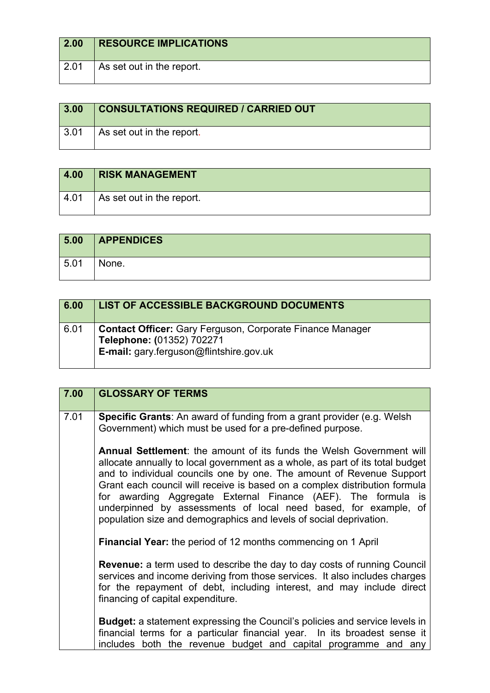| $\vert$ 2.00 | <b>RESOURCE IMPLICATIONS</b> |
|--------------|------------------------------|
| 2.01         | As set out in the report.    |

| 3.00 | <b>CONSULTATIONS REQUIRED / CARRIED OUT</b> |
|------|---------------------------------------------|
| 3.01 | As set out in the report.                   |

| 4.00 | <b>RISK MANAGEMENT</b>    |
|------|---------------------------|
| 4.01 | As set out in the report. |

| 5.00 | <b>APPENDICES</b> |
|------|-------------------|
| 5.01 | None.             |

| 6.00 | <b>LIST OF ACCESSIBLE BACKGROUND DOCUMENTS</b>                                                                                           |
|------|------------------------------------------------------------------------------------------------------------------------------------------|
| 6.01 | <b>Contact Officer:</b> Gary Ferguson, Corporate Finance Manager<br>Telephone: (01352) 702271<br>E-mail: gary.ferguson@flintshire.gov.uk |

| 7.00                                                                                                                                                                                                                                                                                                                                                                                                                                                                                                                         | <b>GLOSSARY OF TERMS</b>                                                                                                                                                                                                                                                                                                              |
|------------------------------------------------------------------------------------------------------------------------------------------------------------------------------------------------------------------------------------------------------------------------------------------------------------------------------------------------------------------------------------------------------------------------------------------------------------------------------------------------------------------------------|---------------------------------------------------------------------------------------------------------------------------------------------------------------------------------------------------------------------------------------------------------------------------------------------------------------------------------------|
| 7.01                                                                                                                                                                                                                                                                                                                                                                                                                                                                                                                         | <b>Specific Grants:</b> An award of funding from a grant provider (e.g. Welsh<br>Government) which must be used for a pre-defined purpose.                                                                                                                                                                                            |
| <b>Annual Settlement:</b> the amount of its funds the Welsh Government will<br>allocate annually to local government as a whole, as part of its total budget<br>and to individual councils one by one. The amount of Revenue Support<br>Grant each council will receive is based on a complex distribution formula<br>for awarding Aggregate External Finance (AEF). The formula is<br>underpinned by assessments of local need based, for example, of<br>population size and demographics and levels of social deprivation. |                                                                                                                                                                                                                                                                                                                                       |
|                                                                                                                                                                                                                                                                                                                                                                                                                                                                                                                              | Financial Year: the period of 12 months commencing on 1 April<br>Revenue: a term used to describe the day to day costs of running Council<br>services and income deriving from those services. It also includes charges<br>for the repayment of debt, including interest, and may include direct<br>financing of capital expenditure. |
|                                                                                                                                                                                                                                                                                                                                                                                                                                                                                                                              | <b>Budget:</b> a statement expressing the Council's policies and service levels in<br>financial terms for a particular financial year. In its broadest sense it<br>includes both the revenue budget and capital programme and any                                                                                                     |